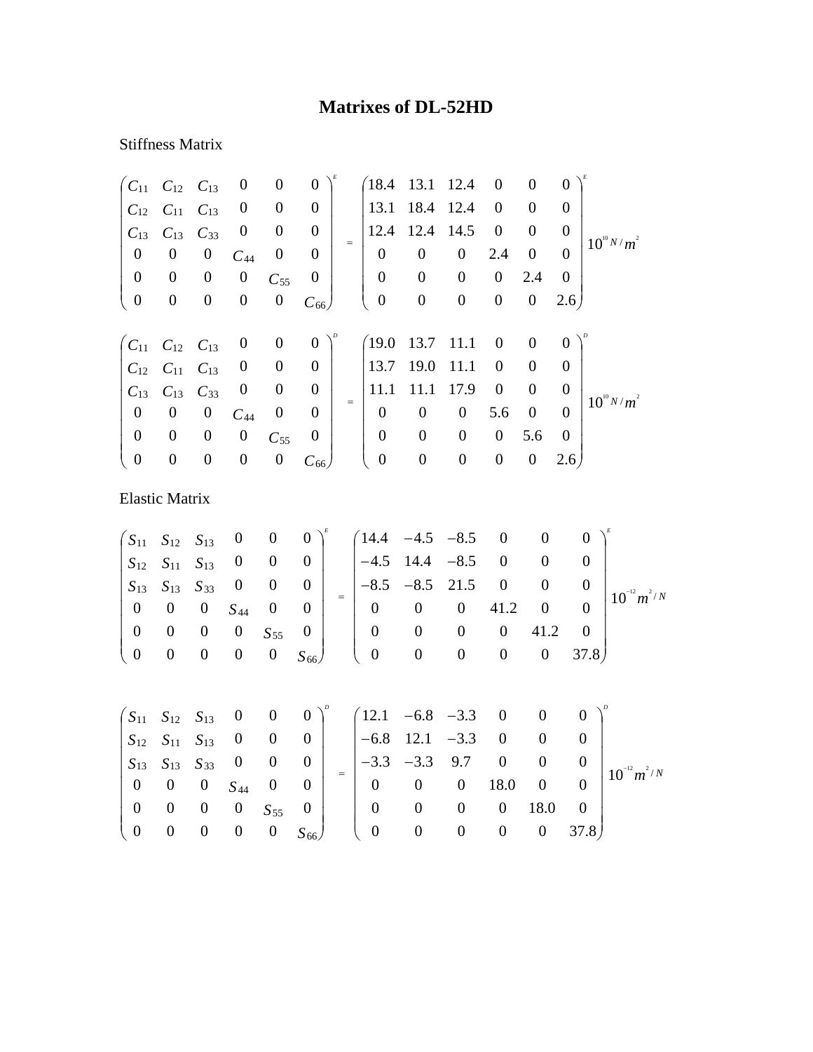## **Matrixes of DL-52HD**

## Stiffness Matrix

|                                                          | $C_{11}$ $C_{12}$ $C_{13}$ |                  | $\boldsymbol{0}$ | $\boldsymbol{0}$ | $\boldsymbol{0}$ |     | (18.4)           | 13.1             | 12.4             | $\boldsymbol{0}$ | $\boldsymbol{0}$ | $\overline{0}$ |                 |
|----------------------------------------------------------|----------------------------|------------------|------------------|------------------|------------------|-----|------------------|------------------|------------------|------------------|------------------|----------------|-----------------|
| $C_{12}$                                                 | $C_{11}$ $C_{13}$          |                  | $\boldsymbol{0}$ | $\boldsymbol{0}$ | $\boldsymbol{0}$ |     | 13.1             | 18.4 12.4        |                  | $\boldsymbol{0}$ | $\overline{0}$   | $\Omega$       |                 |
| $C_{13}$                                                 | $C_{13}$                   | $C_{33}$         | $\boldsymbol{0}$ | $\boldsymbol{0}$ | $\theta$         | $=$ | 12.4             | 12.4             | 14.5             | $\boldsymbol{0}$ | $\overline{0}$   | $\theta$       | $10^{10} N/m^2$ |
| $\boldsymbol{0}$                                         | $\boldsymbol{0}$           | $\boldsymbol{0}$ | $C_{44}$         | $\boldsymbol{0}$ | $\boldsymbol{0}$ |     | $\boldsymbol{0}$ | $\boldsymbol{0}$ | $\boldsymbol{0}$ | 2.4              | $\boldsymbol{0}$ | $\theta$       |                 |
| $\boldsymbol{0}$                                         | $\boldsymbol{0}$           | $\boldsymbol{0}$ | $\boldsymbol{0}$ | $C_{55}$         | $\boldsymbol{0}$ |     | $\boldsymbol{0}$ | $\boldsymbol{0}$ | $\boldsymbol{0}$ | $\boldsymbol{0}$ | 2.4              | $\overline{0}$ |                 |
| $\mathbf{0}$                                             | $\boldsymbol{0}$           | $\boldsymbol{0}$ | $\boldsymbol{0}$ | $\boldsymbol{0}$ | $C_{66}$         |     | $\overline{0}$   | $\boldsymbol{0}$ | $\boldsymbol{0}$ | $\boldsymbol{0}$ | $\boldsymbol{0}$ | 2.6)           |                 |
|                                                          |                            |                  |                  |                  |                  |     |                  |                  |                  |                  |                  |                |                 |
| $\begin{pmatrix} C_{11} & C_{12} & C_{13} \end{pmatrix}$ |                            |                  | $\boldsymbol{0}$ | $\overline{0}$   | $\overline{0}$   |     | (19.0)           | 13.7             | 11.1             | $\boldsymbol{0}$ | $\boldsymbol{0}$ | $\theta$       |                 |
|                                                          | $C_{12}$ $C_{11}$ $C_{13}$ |                  | $\boldsymbol{0}$ | $\boldsymbol{0}$ | $\boldsymbol{0}$ |     | 13.7             | 19.0             | 11.1             | $\boldsymbol{0}$ | $\theta$         | $\Omega$       |                 |
| $C_{13}$                                                 | $C_{13}$                   | $C_{33}$         | $\boldsymbol{0}$ | $\boldsymbol{0}$ | $\overline{0}$   |     | 11.1             | 11.1             | 17.9             | $\theta$         | $\theta$         | $\theta$       |                 |
| $\boldsymbol{0}$                                         | $\boldsymbol{0}$           | $\boldsymbol{0}$ | $C_{44}$         | $\boldsymbol{0}$ | $\boldsymbol{0}$ | $=$ | $\overline{0}$   | $\boldsymbol{0}$ | $\boldsymbol{0}$ | 5.6              | $\overline{0}$   | $\Omega$       | $10^{10} N/m^2$ |
| $\boldsymbol{0}$                                         | $\boldsymbol{0}$           | $\boldsymbol{0}$ | $\boldsymbol{0}$ | $C_{55}$         | $\boldsymbol{0}$ |     | $\boldsymbol{0}$ | $\boldsymbol{0}$ | $\boldsymbol{0}$ | $\overline{0}$   | 5.6              | $\overline{0}$ |                 |
| $\boldsymbol{0}$                                         | $\boldsymbol{0}$           | $\boldsymbol{0}$ | $\boldsymbol{0}$ | $\boldsymbol{0}$ | $C_{66}$         |     | $\boldsymbol{0}$ | $\boldsymbol{0}$ | $\boldsymbol{0}$ | $\boldsymbol{0}$ | $\boldsymbol{0}$ | 2.6)           |                 |
| <b>Elastic Matrix</b>                                    |                            |                  |                  |                  |                  |     |                  |                  |                  |                  |                  |                |                 |

 $m^2/N$ *S S S*  $S_{13}$   $S_{13}$  *S*  $S_{12}$   $S_{11}$  *S*  $S_{11}$   $S_{12}$   $S_{13}$  0 0 0  $\big)^{\epsilon}$  (14.4 -4.5 -8.5 0 0 0  $\big)^{\epsilon}$ / 66 55 44 13  $\lambda$ 13  $\lambda$ 33  $12$   $\lambda$ 11  $\lambda$ 13  $11 \quad S_{12} \quad S_{13}$  $10^{-12} m^2$ 0 0 0 0 0 37.8 0 0 0 0 41.2 0 0 0 0 41.2 0 0  $8.5 \t -8.5 \t 21.5 \t 0 \t 0 \t 0$  $4.5$  14.4  $-8.5$  0 0 0  $14.4$   $-4.5$   $-8.5$  0 0 0 0 0 0 0 0  $0 \t 0 \t 0 \t 0 \t S_{55} \t 0$  $0 \t 0 \t 0 \t S_{44} \t 0 \t 0$ 0 0 0 0 0 0 0 0 0 −  $\frac{1}{2}$  $\overline{\phantom{a}}$  $\overline{\phantom{a}}$  $\overline{\phantom{a}}$  $\overline{\phantom{a}}$  $\overline{\phantom{a}}$  $\overline{\phantom{a}}$ ⎠ ⎞  $\parallel$  $\overline{a}$  $\overline{a}$  $\overline{a}$  $\overline{a}$  $\overline{a}$  $\mathsf I$ ⎝  $\big($  $-8.5 -4.5$  14.4 –  $-4.5 \frac{1}{2}$  $\overline{\phantom{a}}$  $\overline{\phantom{a}}$  $\overline{\phantom{a}}$  $\overline{\phantom{a}}$  $\overline{\phantom{a}}$  $\overline{\phantom{a}}$ ⎠ ⎞  $\parallel$  $\overline{a}$  $\overline{a}$  $\overline{a}$  $\overline{a}$  $\overline{a}$  $\mathsf I$ ⎝  $\big($ =  $S_{12}$   $S_{11}$  *S*  $S_{11}$   $S_{12}$   $S_{13}$  0 0 0  $\big)^{\circ}$  (12.1 -6.8 -3.3 0 0 0  $\big)^{\circ}$  $12$   $511$   $513$ 11  $\delta$ 12  $\delta$ 13 6.8 12.1  $-3.3$  0 0 0  $12.1 -6.8 -3.3 = 0$  0 0 0 0 0 0 0 0  $\overline{\phantom{a}}$  $\begin{matrix} \end{matrix}$  $\overline{a}$  $\int$  $-6.8$  12.1 - $-6.8 \overline{\phantom{a}}$  $\begin{matrix} \end{matrix}$  $\overline{a}$  $\int$ 

|                                                                                          |  |  |                          |  | $\begin{vmatrix} S_{13} & S_{13} & S_{33} & 0 & 0 & 0 \ 0 & 0 & 0 & S_{44} & 0 & 0 \end{vmatrix}$ = $\begin{vmatrix} -3.3 & -3.3 & 9.7 & 0 & 0 & 0 \ 0 & 0 & 0 & 18.0 & 0 & 0 \end{vmatrix}$ |  |            |                | $\begin{array}{c c} 0 & 10^{-12} m^2/N \end{array}$ |
|------------------------------------------------------------------------------------------|--|--|--------------------------|--|----------------------------------------------------------------------------------------------------------------------------------------------------------------------------------------------|--|------------|----------------|-----------------------------------------------------|
|                                                                                          |  |  |                          |  |                                                                                                                                                                                              |  |            |                |                                                     |
| $\begin{bmatrix} 0 & 0 & 0 & 0 & S_{55} & 0 \\ 0 & 0 & 0 & 0 & 0 & S_{66} \end{bmatrix}$ |  |  |                          |  |                                                                                                                                                                                              |  | $0$ 18.0 0 |                |                                                     |
|                                                                                          |  |  | $0 \quad 0 \quad S_{66}$ |  |                                                                                                                                                                                              |  |            | $0 \quad 37.8$ |                                                     |